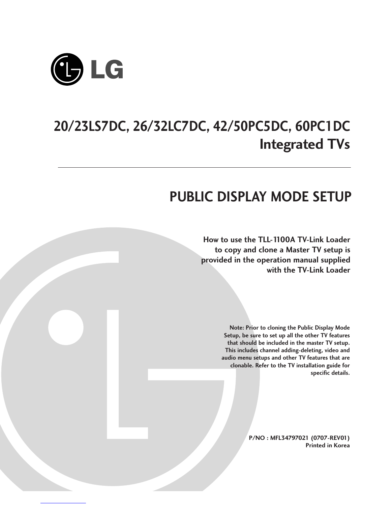

# **20/23LS7DC, 26/32LC7DC, 42/50PC5DC, 60PC1DC Integrated TVs**

# **PUBLIC DISPLAY MODE SETUP**

**How to use the TLL-1100A TV-Link Loader to copy and clone a Master TV setup is provided in the operation manual supplied with the TV-Link Loader**

> **Note: Prior to cloning the Public Display Mode Setup, be sure to set up all the other TV features that should be included in the master TV setup. This includes channel adding-deleting, video and audio menu setups and other TV features that are clonable. Refer to the TV installation guide for specific details.**

> > **P/NO : MFL34797021 (0707-REV01) Printed in Korea**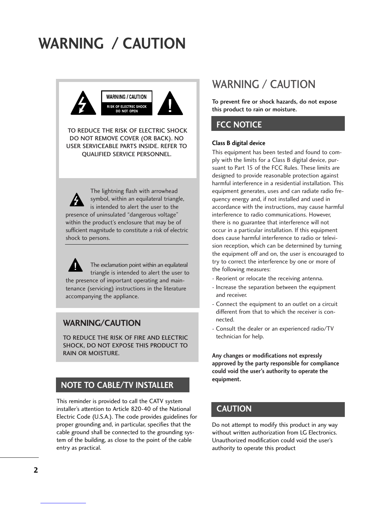# **WARNING / CAUTION**



TO REDUCE THE RISK OF ELECTRIC SHOCK DO NOT REMOVE COVER (OR BACK). NO USER SERVICEABLE PARTS INSIDE. REFER TO QUALIFIED SERVICE PERSONNEL.



The lightning flash with arrowhead symbol, within an equilateral triangle, is intended to alert the user to the presence of uninsulated "dangerous voltage" within the product's enclosure that may be of sufficient magnitude to constitute a risk of electric shock to persons.

The exclamation point within an equilateral triangle is intended to alert the user to the presence of important operating and maintenance (servicing) instructions in the literature accompanying the appliance.

## **WARNING/CAUTION**

TO REDUCE THE RISK OF FIRE AND ELECTRIC SHOCK, DO NOT EXPOSE THIS PRODUCT TO RAIN OR MOISTURE.

## **NOTE TO CABLE/TV INSTALLER**

This reminder is provided to call the CATV system installer's attention to Article 820-40 of the National Electric Code (U.S.A.). The code provides guidelines for proper grounding and, in particular, specifies that the cable ground shall be connected to the grounding system of the building, as close to the point of the cable entry as practical.

## WARNING / CAUTION

To prevent fire or shock hazards, do not expose this product to rain or moisture.

## **FCC NOTICE**

#### **Class B digital device**

This equipment has been tested and found to comply with the limits for a Class B digital device, pursuant to Part 15 of the FCC Rules. These limits are designed to provide reasonable protection against harmful interference in a residential installation. This equipment generates, uses and can radiate radio frequency energy and, if not installed and used in accordance with the instructions, may cause harmful interference to radio communications. However, there is no guarantee that interference will not occur in a particular installation. If this equipment does cause harmful interference to radio or television reception, which can be determined by turning the equipment off and on, the user is encouraged to try to correct the interference by one or more of the following measures:

- Reorient or relocate the receiving antenna.
- Increase the separation between the equipment and receiver.
- Connect the equipment to an outlet on a circuit different from that to which the receiver is connected.
- Consult the dealer or an experienced radio/TV technician for help.

**Any changes or modifications not expressly approved by the party responsible for compliance could void the user's authority to operate the equipment.**

## **CAUTION**

Do not attempt to modify this product in any way without written authorization from LG Electronics. Unauthorized modification could void the user's authority to operate this product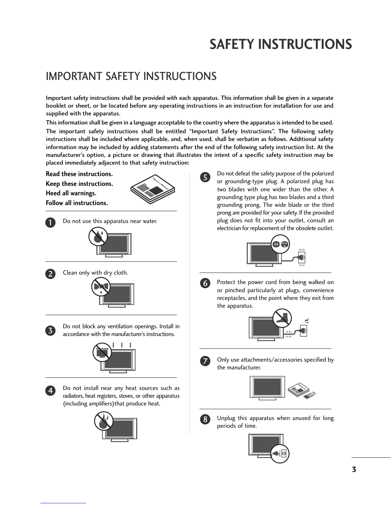# **SAFETY INSTRUCTIONS**

# IMPORTANT SAFETY INSTRUCTIONS

nual

Important safety instructions shall be provided with each apparatus. This information shall be given in a separate booklet or sheet, or be located before any operating instructions in an instruction for installation for use and supplied with the apparatus.

This information shall be given in a language acceptable to the country where the apparatus is intended to be used.

The important safety instructions shall be entitled "Important Safety Instructions". The following safety instructions shall be included where applicable, and, when used, shall be verbatim as follows. Additional safety information may be included by adding statements after the end of the following safety instruction list. At the manufacturer's option, a picture or drawing that illustrates the intent of a specific safety instruction may be manufacturer's option, a piective or drawing that mast nual

5

**Read these instructions.**

**Keep these instructions. Heed all warnings. Follow all instructions.**



Owne r Ma

Do not use this apparatus near water.





1

Clean only with dry cloth.





4

Do not block any ventilation openings. Install in accordance with the manufacturer's instructions.



Do not install near any heat sources such as radiators, heat registers, stoves, or other apparatus (including amplifiers)that produce heat.



Do not defeat the safety purpose of the polarized or grounding-type plug. A polarized plug has two blades with one wider than the other. A grounding type plug has two blades and a third grounding prong, The wide blade or the third prong are provided for your safety. If the provided plug does not fit into your outlet, consult an electrician for replacement of the obsolete outlet.



6

Protect the power cord from being walked on or pinched particularly at plugs, convenience receptacles, and the point where they exit from the apparatus.  $\overline{\phantom{a}}$  $r<sub>0</sub>$ m





Only use attachments/accessories specified by the manufacturer.





Unplug this apparatus when unused for long periods of time.

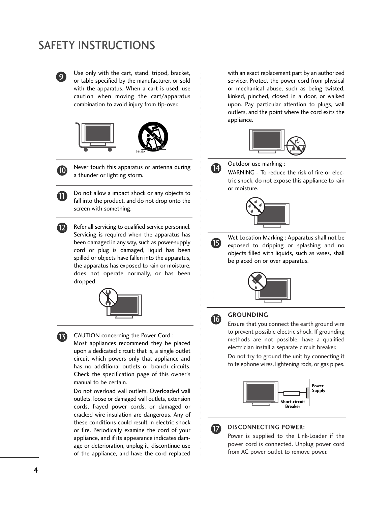# SAFETY INSTRUCTIONS



Use only with the cart, stand, tripod, bracket, or table specified by the manufacturer, or sold with the apparatus. When a cart is used, use caution when moving the cart/apparatus combination to avoid injury from tip-over.





11

Never touch this apparatus or antenna during a thunder or lighting storm.

Do not allow a impact shock or any objects to fall into the product, and do not drop onto the screen with something.

Refer all servicing to qualified service personnel. Servicing is required when the apparatus has been damaged in any way, such as power-supply cord or plug is damaged, liquid has been spilled or objects have fallen into the apparatus, the apparatus has exposed to rain or moisture, does not operate normally, or has been dropped. 12





CAUTION concerning the Power Cord :

Most appliances recommend they be placed upon a dedicated circuit; that is, a single outlet circuit which powers only that appliance and has no additional outlets or branch circuits. Check the specification page of this owner's manual to be certain.

Do not overload wall outlets. Overloaded wall outlets, loose or damaged wall outlets, extension cords, frayed power cords, or damaged or cracked wire insulation are dangerous. Any of these conditions could result in electric shock or fire. Periodically examine the cord of your appliance, and if its appearance indicates damage or deterioration, unplug it, discontinue use of the appliance, and have the cord replaced

with an exact replacement part by an authorized servicer. Protect the power cord from physical or mechanical abuse, such as being twisted, kinked, pinched, closed in a door, or walked upon. Pay particular attention to plugs, wall outlets, and the point where the cord exits the appliance.





Outdoor use marking :

WARNING - To reduce the risk of fire or electric shock, do not expose this appliance to rain or moisture.



Wet Location Marking : Apparatus shall not be exposed to dripping or splashing and no objects filled with liquids, such as vases, shall be placed on or over apparatus.





15

### **GROUNDING**

Ensure that you connect the earth ground wire to prevent possible electric shock. If grounding methods are not possible, have a qualified electrician install a separate circuit breaker.

Do not try to ground the unit by connecting it to telephone wires, lightening rods, or gas pipes.





#### DISCONNECTING POWER:

Power is supplied to the Link-Loader if the power cord is connected. Unplug power cord from AC power outlet to remove power.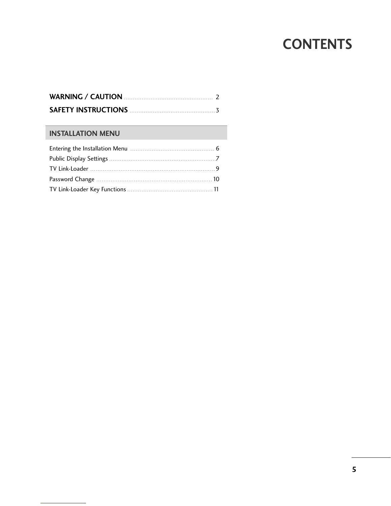# **CONTENTS**

## **INSTALLATION MENU**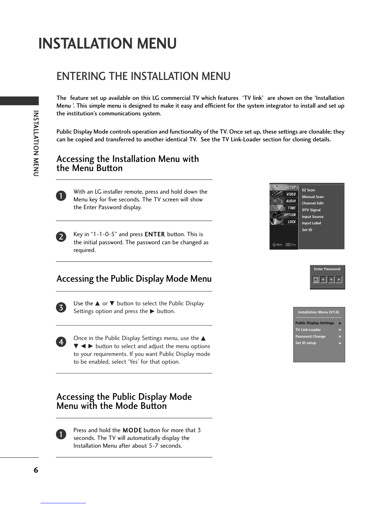# **INSTALLATION MENU**

# ENTERING THE INSTALLATION MENU

The feature set up available on this LG commercial TV which features 'TV link' are shown on the 'Installation Menu '. This simple menu is designed to make it easy and efficient for the system integrator to install and set up the institution's communications system.

Public Display Mode controls operation and functionality of the TV. Once set up, these settings are clonable; they can be copied and transferred to another identical TV. See the TV Link-Loader section for cloning details.

## Accessing the Installation Menu with the Menu Button



INSTALLATION MENU

INSTALLATION MENU

With an LG installer remote, press and hold down the Menu key for five seconds. The TV screen will show the Enter Password display.



Key in "1-1-0-5" and press ENTER button. This is the initial password. The password can be changed as required.







Use the  $\blacktriangle$  or  $\nabla$  button to select the Public Display Settings option and press the  $\blacktriangleright$  button.



Once in the Public Display Settings menu, use the  $\blacktriangle$  $\blacktriangledown$   $\blacktriangleleft$   $\blacktriangleright$  button to select and adjust the menu options to your requirements. If you want Public Display mode to be enabled, select 'Yes' for that option.

## Accessing the Public Display Mode Menu with the Mode Button



Press and hold the MODE button for more that 3 seconds. The TV will automatically display the Installation Menu after about 5-7 seconds.



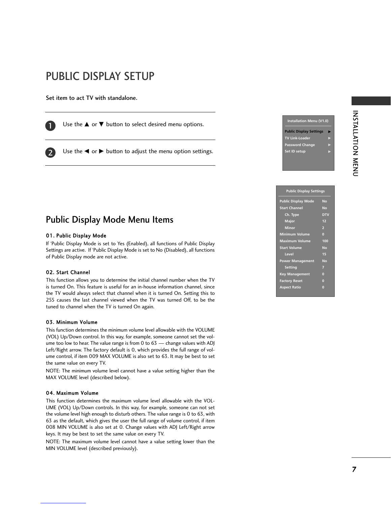# INSTALLATION<br>
NEWSTATLATION INSTALLATION MENU

#### **Public Display Settings**

**Installation Menu (V1.0) Public Display Settings TV Link-Loade** rd Chai **Set ID setup** 

| <b>Public Display Mode</b> | <b>No</b>  |
|----------------------------|------------|
| <b>Start Channel</b>       | <b>No</b>  |
| Ch. Type                   | <b>DTV</b> |
| <b>Major</b>               | 12         |
| <b>Minor</b>               | 2          |
| <b>Minimum Volume</b>      | $\bf{0}$   |
| <b>Maximum Volume</b>      | 100        |
| <b>Start Volume</b>        | <b>No</b>  |
| Level                      | 15         |
| <b>Power Management</b>    | No         |
| <b>Setting</b>             | 7          |
| <b>Key Management</b>      | $\bf{0}$   |
| <b>Factory Reset</b>       | $\bf{0}$   |
| <b>Aspect Ratio</b>        | Г          |
|                            |            |

# PUBLIC DISPLAY SETUP

Set item to act TV with standalone.

1

2

Use the  $\blacktriangle$  or  $\nabla$  button to select desired menu options.

Use the  $\blacktriangleleft$  or  $\blacktriangleright$  button to adjust the menu option settings.

## Public Display Mode Menu Items

#### 01. Public Display Mode

If 'Public Display Mode is set to Yes (Enabled), all functions of Public Display Settings are active. If 'Public Display Mode is set to No (Disabled), all functions of Public Display mode are not active.

#### 02. Start Channel

This function allows you to determine the initial channel number when the TV is turned On. This feature is useful for an in-house information channel, since the TV would always select that channel when it is turned On. Setting this to 255 causes the last channel viewed when the TV was turned Off, to be the tuned to channel when the TV is turned On again.

#### 03. Minimum Volume

This function determines the minimum volume level allowable with the VOLUME (VOL) Up/Down control. In this way, for example, someone cannot set the volume too low to hear. The value range is from 0 to 63 — change values with ADJ Left/Right arrow. The factory default is 0, which provides the full range of volume control, if item 009 MAX VOLUME is also set to 63. It may be best to set the same value on every TV.

NOTE: The minimum volume level cannot have a value setting higher than the MAX VOLUME level (described below).

#### 04. Maximum Volume

This function determines the maximum volume level allowable with the VOL-UME (VOL) Up/Down controls. In this way, for example, someone can not set the volume level high enough to disturb others. The value range is 0 to 63, with 63 as the default, which gives the user the full range of volume control, if item 008 MIN VOLUME is also set at 0. Change values with ADJ Left/Right arrow keys. It may be best to set the same value on every TV.

NOTE: The maximum volume level cannot have a value setting lower than the MIN VOLUME level (described previously).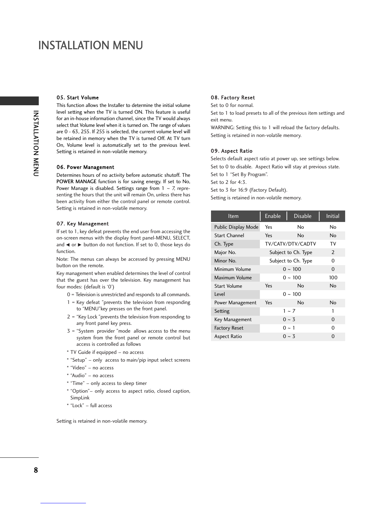## INSTALLATION MENU

#### 05. Start Volume

This function allows the Installer to determine the initial volume level setting when the TV is turned ON. This feature is useful for an in-house information channel, since the TV would always select that Volume level when it is turned on. The range of values are 0 - 63, 255. If 255 is selected, the current volume level will be retained in memory when the TV is turned Off. At TV turn On, Volume level is automatically set to the previous level. Setting is retained in non-volatile memory.

#### 06. Power Management

Determines hours of no activity before automatic shutoff. The POWER MANAGE function is for saving energy. If set to No, Power Manage is disabled. Settings range from  $1 \sim 7$ , representing the hours that the unit will remain On, unless there has been activity from either the control panel or remote control. Setting is retained in non-volatile memory.

#### 07. Key Management

If set to 1, key defeat prevents the end user from accessing the on-screen menus with the display front panel-MENU, SELECT, and  $\blacktriangleleft$  or  $\blacktriangleright$  button do not function. If set to 0, those keys do function.

Note: The menus can always be accessed by pressing MENU button on the remote.

Key management when enabled determines the level of control that the guest has over the television. Key management has four modes: (default is '0')

- 0 = Television is unrestricted and responds to all commands.
- 1 = Key defeat "prevents the television from responding to "MENU"key presses on the front panel.
- 2 = "Key Lock "prevents the television from responding to any front panel key press.
- 3 = "System provider "mode allows access to the menu system from the front panel or remote control but access is controlled as follows
- \* TV Guide if equipped no access
- \* "Setup" only access to main/pip input select screens
- \* "Video" no access
- \* "Audio" no access
- \* "Time" only access to sleep timer
- \* "Option"– only access to aspect ratio, closed caption, SimpLink
- \* "Lock" full access

Setting is retained in non-volatile memory.

#### 08. Factory Reset

Set to 0 for normal.

Set to 1 to load presets to all of the previous item settings and exit menu.

WARNING: Setting this to 1 will reload the factory defaults. Setting is retained in non-volatile memory.

#### 09. Aspect Ratio

Selects default aspect ratio at power up, see settings below. Set to 0 to disable. Aspect Ratio will stay at previous state. Set to 1 "Set By Program".

Set to 2 for 4:3.

Set to 3 for 16:9 (Factory Default).

Setting is retained in non-volatile memory.

| <b>Item</b>          | Enable                               | <b>Disable</b> | <b>Initial</b> |
|----------------------|--------------------------------------|----------------|----------------|
| Public Display Mode  | Yes                                  | No             | No             |
| <b>Start Channel</b> | Yes                                  | No             | No             |
| Ch. Type             | TV/CATV/DTV/CADTV                    |                | T٧             |
| Major No.            | Subject to Ch. Type<br>$\mathcal{P}$ |                |                |
| Minor No.            | Subject to Ch. Type                  |                | O              |
| Minimum Volume       |                                      | $0 \sim 100$   | 0              |
| Maximum Volume       |                                      | $0 \sim 100$   | 100            |
| Start Volume         | Yes                                  | No             | No             |
| l evel               |                                      | $0 \sim 100$   |                |
| Power Management     | Yes                                  | No             | <b>No</b>      |
| Setting              |                                      | $1 - 7$        | 1              |
| Key Management       |                                      | $0 - 3$        | $\Omega$       |
| <b>Factory Reset</b> |                                      | $0 \sim 1$     | O              |
| Aspect Ratio         |                                      | $0 \sim 3$     | O              |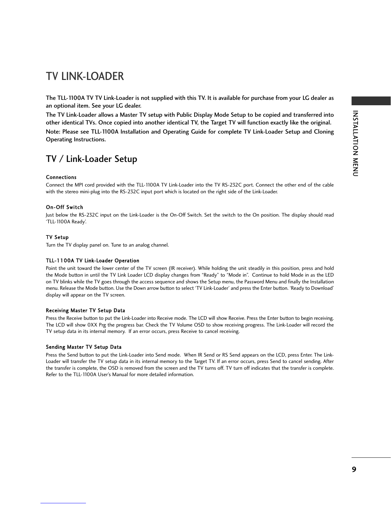## TV LINK-LOADER

The TLL-1100A TV TV Link-Loader is not supplied with this TV. It is available for purchase from your LG dealer as an optional item. See your LG dealer.

The TV Link-Loader allows a Master TV setup with Public Display Mode Setup to be copied and transferred into other identical TVs. Once copied into another identical TV, the Target TV will function exactly like the original.

Note: Please see TLL-1100A Installation and Operating Guide for complete TV Link-Loader Setup and Cloning Operating Instructions.

## TV / Link-Loader Setup

#### Connections

Connect the MPI cord provided with the TLL-1100A TV Link-Loader into the TV RS-232C port. Connect the other end of the cable with the stereo mini-plug into the RS-232C input port which is located on the right side of the Link-Loader.

#### On-Off Switch

Just below the RS-232C input on the Link-Loader is the On-Off Switch. Set the switch to the On position. The display should read 'TLL-1100A Ready'.

#### TV Setup

Turn the TV display panel on. Tune to an analog channel.

#### TLL-1100A TV Link-Loader Operation

Point the unit toward the lower center of the TV screen (IR receiver). While holding the unit steadily in this position, press and hold the Mode button in until the TV Link Loader LCD display changes from "Ready" to "Mode in". Continue to hold Mode in as the LED on TV blinks while the TV goes through the access sequence and shows the Setup menu, the Password Menu and finally the Installation menu. Release the Mode button. Use the Down arrow button to select 'TV Link-Loader' and press the Enter button. 'Ready to Download' display will appear on the TV screen.

#### Receiving Master TV Setup Data

Press the Receive button to put the Link-Loader into Receive mode. The LCD will show Receive. Press the Enter button to begin receiving. The LCD will show 0XX Prg the progress bar. Check the TV Volume OSD to show receiving progress. The Link-Loader will record the TV setup data in its internal memory. If an error occurs, press Receive to cancel receiving.

#### Sending Master TV Setup Data

Press the Send button to put the Link-Loader into Send mode. When IR Send or RS Send appears on the LCD, press Enter. The Link-Loader will transfer the TV setup data in its internal memory to the Target TV. If an error occurs, press Send to cancel sending. After the transfer is complete, the OSD is removed from the screen and the TV turns off. TV turn off indicates that the transfer is complete. Refer to the TLL-1100A User's Manual for more detailed information.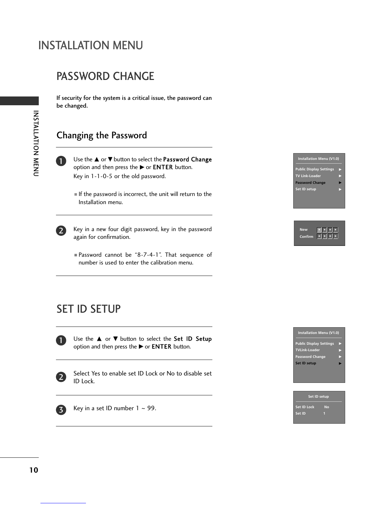# INSTALLATION MENU

# PASSWORD CHANGE

If security for the system is a critical issue, the password can be changed.

## Changing the Password



Use the  $\blacktriangle$  or  $\nabla$  button to select the Password Change option and then press the  $\blacktriangleright$  or **ENTER** button. Key in 1-1-0-5 or the old password.

■ If the password is incorrect, the unit will return to the Installation menu.



Key in a new four digit password, key in the password again for confirmation.

■ Password cannot be "8-7-4-1". That sequence of number is used to enter the calibration menu.

## **Installation Menu (V1.0) Public Display Settings TV Link-Loader Password Change Set ID setup**



# SET ID SETUP



Use the  $\blacktriangle$  or  $\nabla$  button to select the Set ID Setup option and then press the  $\blacktriangleright$  or **ENTER** button.



Select Yes to enable set ID Lock or No to disable set ID Lock.



Key in a set ID number  $1 \sim 99$ .



|             | Set ID setup |
|-------------|--------------|
| Set ID Lock | No           |
| Set ID      |              |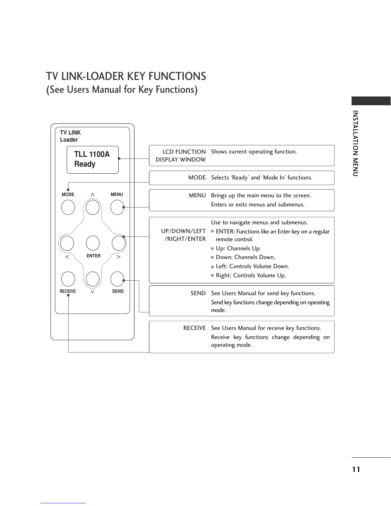# TV LINK-LOADER KEY FUNCTIONS (See Users Manual for Key Functions)